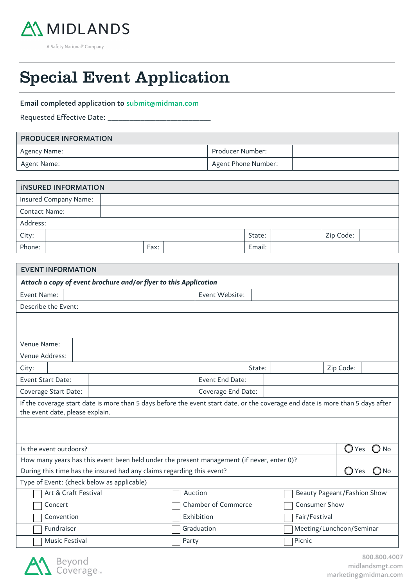

A Safety National® Company

# 55 Special Event Application

### Email completed application to submit@midman.com

Requested Effective Date: \_

 $\overline{a}$ 

## PRODUCER INFORMATION Agency Name: 2008 2012 2022 2023 2024 2022 2023 2024 2022 2023 2024 2022 2023 2024 2022 2023 2024 2022 2023 20 Agent Name:  $\begin{array}{|c|c|c|c|c|}\n\hline\n\text{Agent} & \text{Home Number:} \\
\hline\n\end{array}$

| <b>INSURED INFORMATION</b> |  |      |  |  |        |  |        |           |  |
|----------------------------|--|------|--|--|--------|--|--------|-----------|--|
| Insured Company Name:      |  |      |  |  |        |  |        |           |  |
| <b>Contact Name:</b>       |  |      |  |  |        |  |        |           |  |
| Address:                   |  |      |  |  |        |  |        |           |  |
| City:                      |  |      |  |  |        |  | State: | Zip Code: |  |
| Phone:                     |  | Fax: |  |  | Email: |  |        |           |  |

| Attach a copy of event brochure and/or flyer to this Application                                                               |  |        |               |                |            |  |  |  |  |
|--------------------------------------------------------------------------------------------------------------------------------|--|--------|---------------|----------------|------------|--|--|--|--|
|                                                                                                                                |  |        |               |                |            |  |  |  |  |
| Event Name:<br>Event Website:                                                                                                  |  |        |               |                |            |  |  |  |  |
| Describe the Event:                                                                                                            |  |        |               |                |            |  |  |  |  |
|                                                                                                                                |  |        |               |                |            |  |  |  |  |
|                                                                                                                                |  |        |               |                |            |  |  |  |  |
| Venue Name:                                                                                                                    |  |        |               |                |            |  |  |  |  |
| Venue Address:                                                                                                                 |  |        |               |                |            |  |  |  |  |
| City:                                                                                                                          |  | State: |               | Zip Code:      |            |  |  |  |  |
| Event Start Date:<br>Event End Date:                                                                                           |  |        |               |                |            |  |  |  |  |
| Coverage End Date:<br>Coverage Start Date:                                                                                     |  |        |               |                |            |  |  |  |  |
| If the coverage start date is more than 5 days before the event start date, or the coverage end date is more than 5 days after |  |        |               |                |            |  |  |  |  |
| the event date, please explain.                                                                                                |  |        |               |                |            |  |  |  |  |
|                                                                                                                                |  |        |               |                |            |  |  |  |  |
|                                                                                                                                |  |        |               |                |            |  |  |  |  |
| Is the event outdoors?                                                                                                         |  |        |               | $\bigcirc$ Yes | D No       |  |  |  |  |
| How many years has this event been held under the present management (if never, enter 0)?                                      |  |        |               |                |            |  |  |  |  |
| During this time has the insured had any claims regarding this event?                                                          |  |        |               | ∩<br>Yes       | No<br>- 11 |  |  |  |  |
| Type of Event: (check below as applicable)                                                                                     |  |        |               |                |            |  |  |  |  |
| Art & Craft Festival<br>Beauty Pageant/Fashion Show<br>Auction                                                                 |  |        |               |                |            |  |  |  |  |
| Chamber of Commerce<br>Concert                                                                                                 |  |        | Consumer Show |                |            |  |  |  |  |
| Exhibition<br>Convention                                                                                                       |  |        | Fair/Festival |                |            |  |  |  |  |
| Meeting/Luncheon/Seminar<br>Fundraiser<br>Graduation                                                                           |  |        |               |                |            |  |  |  |  |
| <b>Music Festival</b><br>Party                                                                                                 |  |        | Picnic        |                |            |  |  |  |  |

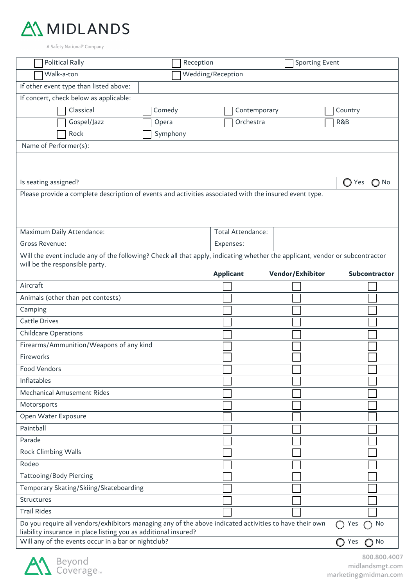

A Safety National<sup>®</sup> Company

| <b>Political Rally</b>                                                                                                                                                                 |          | Reception |                  |                   |                  | <b>Sporting Event</b>             |              |
|----------------------------------------------------------------------------------------------------------------------------------------------------------------------------------------|----------|-----------|------------------|-------------------|------------------|-----------------------------------|--------------|
| Walk-a-ton<br>Wedding/Reception                                                                                                                                                        |          |           |                  |                   |                  |                                   |              |
| If other event type than listed above:                                                                                                                                                 |          |           |                  |                   |                  |                                   |              |
| If concert, check below as applicable:                                                                                                                                                 |          |           |                  |                   |                  |                                   |              |
| Classical                                                                                                                                                                              | Comedy   |           |                  | Contemporary      |                  | Country                           |              |
| Gospel/Jazz                                                                                                                                                                            | Opera    |           |                  | Orchestra         |                  | R&B                               |              |
| Rock                                                                                                                                                                                   | Symphony |           |                  |                   |                  |                                   |              |
| Name of Performer(s):                                                                                                                                                                  |          |           |                  |                   |                  |                                   |              |
|                                                                                                                                                                                        |          |           |                  |                   |                  |                                   |              |
|                                                                                                                                                                                        |          |           |                  |                   |                  |                                   |              |
| Is seating assigned?                                                                                                                                                                   |          |           |                  |                   |                  | $\bigcirc$ Yes                    | $\bigcap$ No |
| Please provide a complete description of events and activities associated with the insured event type.                                                                                 |          |           |                  |                   |                  |                                   |              |
|                                                                                                                                                                                        |          |           |                  |                   |                  |                                   |              |
| Maximum Daily Attendance:                                                                                                                                                              |          |           |                  | Total Attendance: |                  |                                   |              |
| Gross Revenue:                                                                                                                                                                         |          |           | Expenses:        |                   |                  |                                   |              |
| Will the event include any of the following? Check all that apply, indicating whether the applicant, vendor or subcontractor                                                           |          |           |                  |                   |                  |                                   |              |
| will be the responsible party.                                                                                                                                                         |          |           | <b>Applicant</b> |                   | Vendor/Exhibitor | Subcontractor                     |              |
| Aircraft                                                                                                                                                                               |          |           |                  |                   |                  |                                   |              |
| Animals (other than pet contests)                                                                                                                                                      |          |           |                  |                   |                  |                                   |              |
| Camping                                                                                                                                                                                |          |           |                  |                   |                  |                                   |              |
| <b>Cattle Drives</b>                                                                                                                                                                   |          |           |                  |                   |                  |                                   |              |
| <b>Childcare Operations</b>                                                                                                                                                            |          |           |                  |                   |                  |                                   |              |
| Firearms/Ammunition/Weapons of any kind                                                                                                                                                |          |           |                  |                   |                  |                                   |              |
| Fireworks                                                                                                                                                                              |          |           |                  |                   |                  |                                   |              |
| <b>Food Vendors</b>                                                                                                                                                                    |          |           |                  |                   |                  |                                   |              |
| Inflatables                                                                                                                                                                            |          |           |                  |                   |                  |                                   |              |
| <b>Mechanical Amusement Rides</b>                                                                                                                                                      |          |           |                  |                   |                  |                                   |              |
| Motorsports                                                                                                                                                                            |          |           |                  |                   |                  |                                   |              |
| Open Water Exposure                                                                                                                                                                    |          |           |                  |                   |                  |                                   |              |
| Paintball                                                                                                                                                                              |          |           |                  |                   |                  |                                   |              |
| Parade                                                                                                                                                                                 |          |           |                  |                   |                  |                                   |              |
| Rock Climbing Walls                                                                                                                                                                    |          |           |                  |                   |                  |                                   |              |
| Rodeo                                                                                                                                                                                  |          |           |                  |                   |                  |                                   |              |
| <b>Tattooing/Body Piercing</b>                                                                                                                                                         |          |           |                  |                   |                  |                                   |              |
| Temporary Skating/Skiing/Skateboarding                                                                                                                                                 |          |           |                  |                   |                  |                                   |              |
| Structures                                                                                                                                                                             |          |           |                  |                   |                  |                                   |              |
| <b>Trail Rides</b>                                                                                                                                                                     |          |           |                  |                   |                  |                                   |              |
| Do you require all vendors/exhibitors managing any of the above indicated activities to have their own<br>Yes<br>No<br>liability insurance in place listing you as additional insured? |          |           |                  |                   |                  |                                   |              |
| Will any of the events occur in a bar or nightclub?                                                                                                                                    |          |           |                  |                   |                  | O <sub>No</sub><br>$\bigcirc$ Yes |              |
|                                                                                                                                                                                        |          |           |                  |                   |                  |                                   |              |

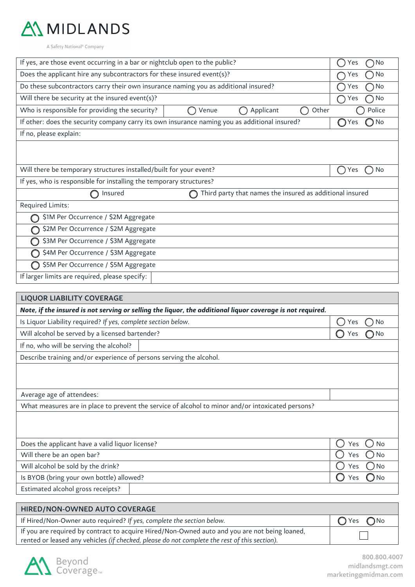

A Safety National® Company

| If yes, are those event occurring in a bar or nightclub open to the public?                                | $\bigcap$ No<br>Yes            |  |  |  |  |
|------------------------------------------------------------------------------------------------------------|--------------------------------|--|--|--|--|
| Does the applicant hire any subcontractors for these insured event(s)?                                     | No<br>Yes                      |  |  |  |  |
| Do these subcontractors carry their own insurance naming you as additional insured?                        | $\bigcap$ No<br>Yes            |  |  |  |  |
| Will there be security at the insured event(s)?                                                            | $\bigcap$ No<br>Yes            |  |  |  |  |
| Who is responsible for providing the security?<br>Applicant<br>Other<br>Venue                              | Police                         |  |  |  |  |
| If other: does the security company carry its own insurance naming you as additional insured?              | $\bigcap$ No<br>$\bigcirc$ Yes |  |  |  |  |
| If no, please explain:                                                                                     |                                |  |  |  |  |
|                                                                                                            |                                |  |  |  |  |
|                                                                                                            |                                |  |  |  |  |
| Will there be temporary structures installed/built for your event?                                         | No<br>Yes                      |  |  |  |  |
| If yes, who is responsible for installing the temporary structures?                                        |                                |  |  |  |  |
| Third party that names the insured as additional insured<br>Insured                                        |                                |  |  |  |  |
| Required Limits:                                                                                           |                                |  |  |  |  |
| \$1M Per Occurrence / \$2M Aggregate                                                                       |                                |  |  |  |  |
| \$2M Per Occurrence / \$2M Aggregate                                                                       |                                |  |  |  |  |
| \$3M Per Occurrence / \$3M Aggregate                                                                       |                                |  |  |  |  |
| \$4M Per Occurrence / \$3M Aggregate                                                                       |                                |  |  |  |  |
| \$5M Per Occurrence / \$5M Aggregate                                                                       |                                |  |  |  |  |
| If larger limits are required, please specify:                                                             |                                |  |  |  |  |
|                                                                                                            |                                |  |  |  |  |
| <b>LIQUOR LIABILITY COVERAGE</b>                                                                           |                                |  |  |  |  |
| Note, if the insured is not serving or selling the liquor, the additional liquor coverage is not required. |                                |  |  |  |  |
| Is Liquor Liability required? If yes, complete section below.                                              | No<br>Yes                      |  |  |  |  |
| Will alcohol be served by a licensed bartender?                                                            | $\bigcirc$ No<br>Yes           |  |  |  |  |
| If no, who will be serving the alcohol?                                                                    |                                |  |  |  |  |
| Describe training and/or experience of persons serving the alcohol.                                        |                                |  |  |  |  |
|                                                                                                            |                                |  |  |  |  |
|                                                                                                            |                                |  |  |  |  |
| Average age of attendees:                                                                                  |                                |  |  |  |  |
| What measures are in place to prevent the service of alcohol to minor and/or intoxicated persons?          |                                |  |  |  |  |
|                                                                                                            |                                |  |  |  |  |
|                                                                                                            |                                |  |  |  |  |
| Does the applicant have a valid liquor license?                                                            | Yes<br><b>No</b>               |  |  |  |  |
| Will there be an open bar?                                                                                 | <b>No</b><br>Yes               |  |  |  |  |
| Will alcohol be sold by the drink?<br>No<br>Yes                                                            |                                |  |  |  |  |
| Is BYOB (bring your own bottle) allowed?                                                                   | <b>No</b><br>Yes               |  |  |  |  |
| Estimated alcohol gross receipts?                                                                          |                                |  |  |  |  |
|                                                                                                            |                                |  |  |  |  |
| HIRED/NON-OWNED AUTO COVERAGE                                                                              |                                |  |  |  |  |
| If Hired/Non-Owner auto required? If yes, complete the section below.                                      | $\bigcap$ No<br>Yes<br>Ο       |  |  |  |  |
| If you are required by contract to acquire Hired/Non-Owned auto and you are not being loaned,              |                                |  |  |  |  |
| rented or leased any vehicles (if checked, please do not complete the rest of this section).               |                                |  |  |  |  |



800.800.4007 midlandsmgt.com marketing@midman.com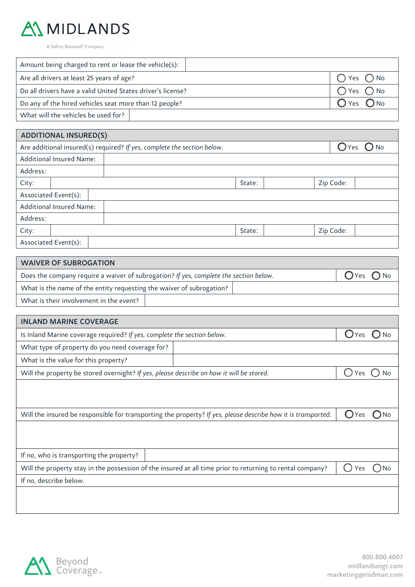

A Safety National<sup>®</sup> Company

| Amount being charged to rent or lease the vehicle(s):       |                |
|-------------------------------------------------------------|----------------|
| Are all drivers at least 25 years of age?                   | $O$ Yes $O$ No |
| Do all drivers have a valid United States driver's license? | $O$ Yes $O$ No |
| Do any of the hired vehicles seat more than 12 people?      | $O$ Yes $O$ No |
| What will the vehicles be used for?                         |                |

| <b>ADDITIONAL INSURED(S)</b>                                                                               |        |           |  |  |  |  |
|------------------------------------------------------------------------------------------------------------|--------|-----------|--|--|--|--|
| $\bigcirc$ No<br>Are additional insured(s) required? If yes, complete the section below.<br>$\bigcirc$ Yes |        |           |  |  |  |  |
| <b>Additional Insured Name:</b>                                                                            |        |           |  |  |  |  |
| Address:                                                                                                   |        |           |  |  |  |  |
| City:                                                                                                      | State: | Zip Code: |  |  |  |  |
| Associated Event(s):                                                                                       |        |           |  |  |  |  |
| <b>Additional Insured Name:</b>                                                                            |        |           |  |  |  |  |
| Address:                                                                                                   |        |           |  |  |  |  |
| City:                                                                                                      | State: | Zip Code: |  |  |  |  |
| Associated Event(s):                                                                                       |        |           |  |  |  |  |

| <b>WAIVER OF SUBROGATION</b>                                                          |                |  |  |  |  |
|---------------------------------------------------------------------------------------|----------------|--|--|--|--|
| Does the company require a waiver of subrogation? If yes, complete the section below. | $O$ Yes $O$ No |  |  |  |  |
| What is the name of the entity requesting the waiver of subrogation?                  |                |  |  |  |  |
| What is their involvement in the event?                                               |                |  |  |  |  |

| <b>INLAND MARINE COVERAGE</b>                                                                                                      |           |  |  |  |  |  |
|------------------------------------------------------------------------------------------------------------------------------------|-----------|--|--|--|--|--|
| Is Inland Marine coverage required? If yes, complete the section below.                                                            | Yes       |  |  |  |  |  |
| What type of property do you need coverage for?                                                                                    |           |  |  |  |  |  |
| What is the value for this property?                                                                                               |           |  |  |  |  |  |
| Will the property be stored overnight? If yes, please describe on how it will be stored.                                           | Yes<br>No |  |  |  |  |  |
|                                                                                                                                    |           |  |  |  |  |  |
|                                                                                                                                    |           |  |  |  |  |  |
| Will the insured be responsible for transporting the property? If yes, please describe how it is transported.<br>( )<br>/Yes<br>No |           |  |  |  |  |  |
|                                                                                                                                    |           |  |  |  |  |  |
|                                                                                                                                    |           |  |  |  |  |  |
| If no, who is transporting the property?                                                                                           |           |  |  |  |  |  |
| Will the property stay in the possession of the insured at all time prior to returning to rental company?                          | Yes<br>No |  |  |  |  |  |
| If no, describe below.                                                                                                             |           |  |  |  |  |  |
|                                                                                                                                    |           |  |  |  |  |  |
|                                                                                                                                    |           |  |  |  |  |  |